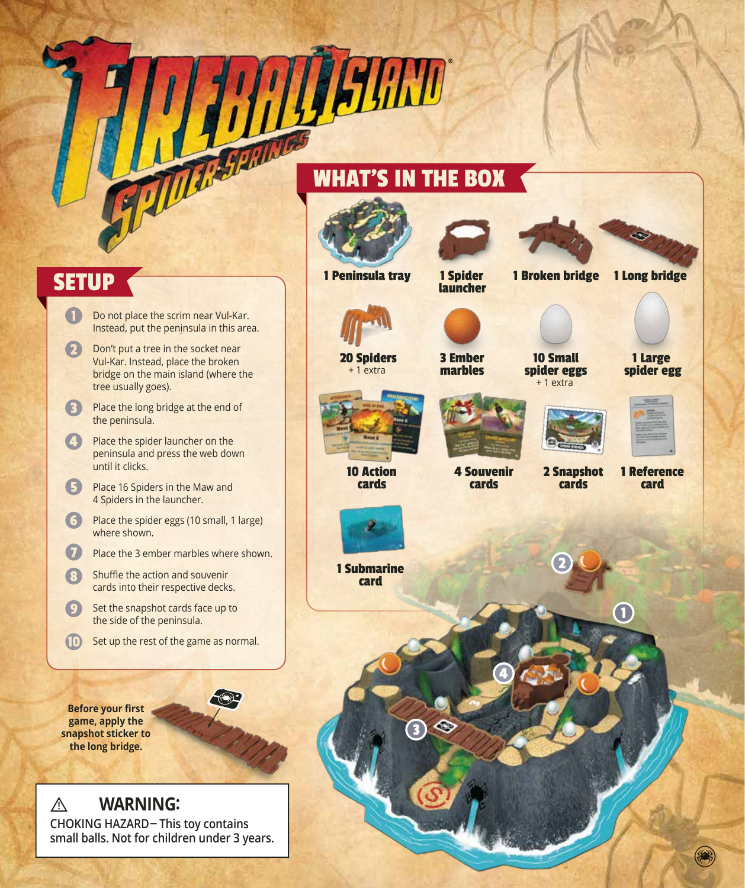## WHAT'S IN THE BOX

**HAND** 



### **SETUP**

Do not place the scrim near Vul-Kar. Instead, put the peninsula in this area.

**SPAIN** 

- $\boldsymbol{\Omega}$ Don't put a tree in the socket near Vul-Kar. Instead, place the broken bridge on the main island (where the tree usually goes).
- A Place the long bridge at the end of the peninsula.
- Place the spider launcher on the peninsula and press the web down until it clicks.
- G Place 16 Spiders in the Maw and 4 Spiders in the launcher.
- G Place the spider eggs (10 small, 1 large) where shown.
- $\boldsymbol{\sigma}$ Place the 3 ember marbles where shown.
- Shuffle the action and souvenir B cards into their respective decks.
- $\bullet$ Set the snapshot cards face up to the side of the peninsula.
- $\mathbf{D}$ Set up the rest of the game as normal.

**Before your first game, apply the snapshot sticker to the long bridge.**



**WARNING: CHOKING HAZARD-This toy contains small balls. Not for children under 3 years. !**